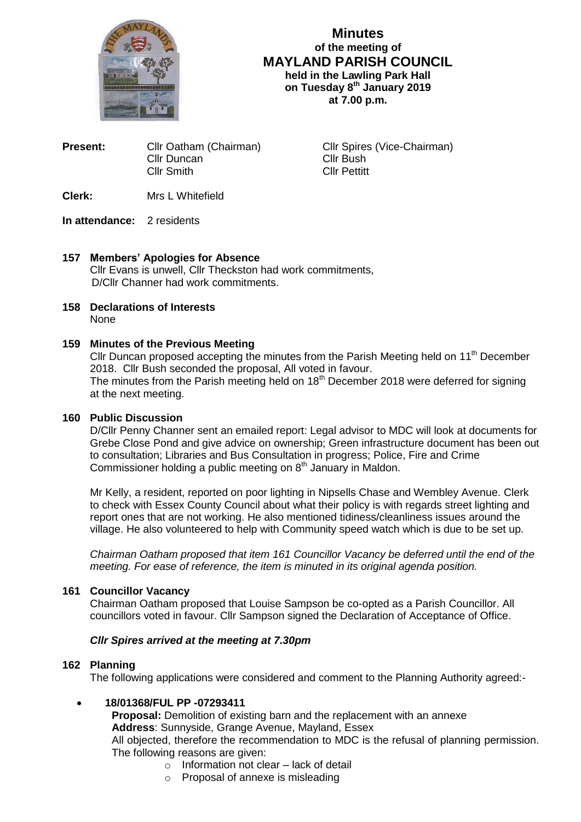

# **Minutes of the meeting of MAYLAND PARISH COUNCIL held in the Lawling Park Hall on Tuesday 8 th January 2019 at 7.00 p.m.**

| Present: | Cllr Oatham (Chairman) |
|----------|------------------------|
|          | Cllr Duncan            |
|          | <b>Cllr Smith</b>      |
|          |                        |

**Cllr Spires (Vice-Chairman)** Cllr Bush Cllr Pettitt

**Clerk:** Mrs L Whitefield

## **In attendance:** 2 residents

# **157 Members' Apologies for Absence**

Cllr Evans is unwell, Cllr Theckston had work commitments, D/Cllr Channer had work commitments.

**158 Declarations of Interests** None

## **159 Minutes of the Previous Meeting**

Cllr Duncan proposed accepting the minutes from the Parish Meeting held on 11<sup>th</sup> December 2018. Cllr Bush seconded the proposal, All voted in favour. The minutes from the Parish meeting held on  $18<sup>th</sup>$  December 2018 were deferred for signing at the next meeting.

# **160 Public Discussion**

D/Cllr Penny Channer sent an emailed report: Legal advisor to MDC will look at documents for Grebe Close Pond and give advice on ownership; Green infrastructure document has been out to consultation; Libraries and Bus Consultation in progress; Police, Fire and Crime Commissioner holding a public meeting on 8<sup>th</sup> January in Maldon.

Mr Kelly, a resident, reported on poor lighting in Nipsells Chase and Wembley Avenue. Clerk to check with Essex County Council about what their policy is with regards street lighting and report ones that are not working. He also mentioned tidiness/cleanliness issues around the village. He also volunteered to help with Community speed watch which is due to be set up.

*Chairman Oatham proposed that item 161 Councillor Vacancy be deferred until the end of the meeting. For ease of reference, the item is minuted in its original agenda position.*

# **161 Councillor Vacancy**

Chairman Oatham proposed that Louise Sampson be co-opted as a Parish Councillor. All councillors voted in favour. Cllr Sampson signed the Declaration of Acceptance of Office.

# *Cllr Spires arrived at the meeting at 7.30pm*

## **162 Planning**

The following applications were considered and comment to the Planning Authority agreed:-

# **18/01368/FUL PP -07293411**

**Proposal:** Demolition of existing barn and the replacement with an annexe **Address**: Sunnyside, Grange Avenue, Mayland, Essex All objected, therefore the recommendation to MDC is the refusal of planning permission. The following reasons are given:

- $\circ$  Information not clear lack of detail
- o Proposal of annexe is misleading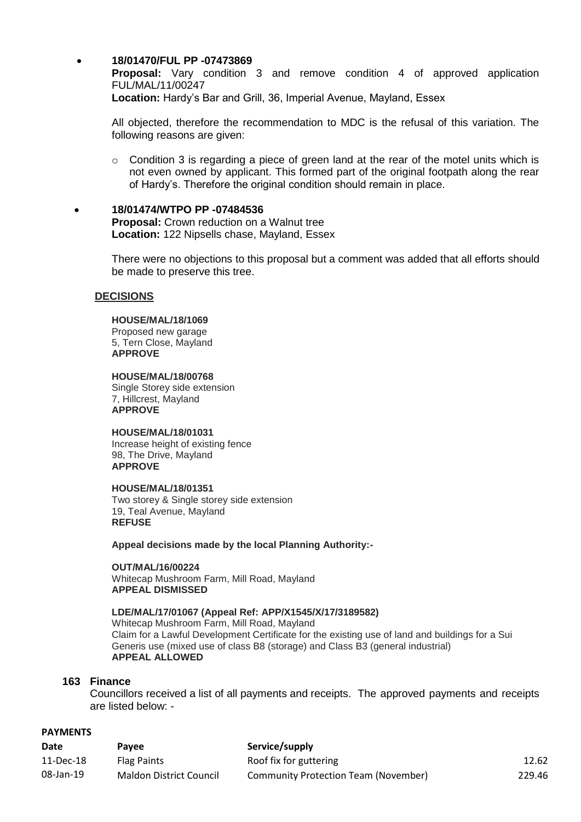### **18/01470/FUL PP -07473869**

 **Proposal:** Vary condition 3 and remove condition 4 of approved application FUL/MAL/11/00247

**Location:** Hardy's Bar and Grill, 36, Imperial Avenue, Mayland, Essex

All objected, therefore the recommendation to MDC is the refusal of this variation. The following reasons are given:

- o Condition 3 is regarding a piece of green land at the rear of the motel units which is not even owned by applicant. This formed part of the original footpath along the rear of Hardy's. Therefore the original condition should remain in place.
- **18/01474/WTPO PP -07484536 Proposal:** Crown reduction on a Walnut tree **Location:** 122 Nipsells chase, Mayland, Essex

There were no objections to this proposal but a comment was added that all efforts should be made to preserve this tree.

### **DECISIONS**

#### **HOUSE/MAL/18/1069**

Proposed new garage 5, Tern Close, Mayland **APPROVE**

#### **HOUSE/MAL/18/00768**

Single Storey side extension 7, Hillcrest, Mayland **APPROVE**

### **HOUSE/MAL/18/01031**

Increase height of existing fence 98, The Drive, Mayland **APPROVE**

### **HOUSE/MAL/18/01351**

Two storey & Single storey side extension 19, Teal Avenue, Mayland **REFUSE**

**Appeal decisions made by the local Planning Authority:-**

#### **OUT/MAL/16/00224**

Whitecap Mushroom Farm, Mill Road, Mayland **APPEAL DISMISSED**

#### **LDE/MAL/17/01067 (Appeal Ref: APP/X1545/X/17/3189582)**

Whitecap Mushroom Farm, Mill Road, Mayland Claim for a Lawful Development Certificate for the existing use of land and buildings for a Sui Generis use (mixed use of class B8 (storage) and Class B3 (general industrial) **APPEAL ALLOWED**

### **163 Finance**

Councillors received a list of all payments and receipts. The approved payments and receipts are listed below: -

### **PAYMENTS**

| Date      | Pavee                          | Service/supply                       |        |
|-----------|--------------------------------|--------------------------------------|--------|
| 11-Dec-18 | <b>Flag Paints</b>             | Roof fix for guttering               | 12.62  |
| 08-Jan-19 | <b>Maldon District Council</b> | Community Protection Team (November) | 229.46 |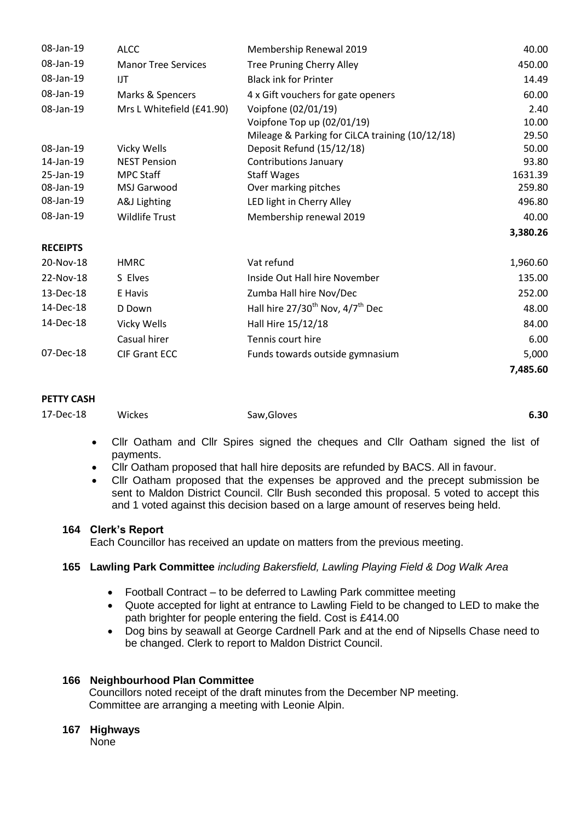| 08-Jan-19       | <b>ALCC</b>                | Membership Renewal 2019                         | 40.00    |
|-----------------|----------------------------|-------------------------------------------------|----------|
| 08-Jan-19       | <b>Manor Tree Services</b> | <b>Tree Pruning Cherry Alley</b>                | 450.00   |
| 08-Jan-19       | IJT                        | <b>Black ink for Printer</b>                    | 14.49    |
| 08-Jan-19       | Marks & Spencers           | 4 x Gift vouchers for gate openers              | 60.00    |
| 08-Jan-19       | Mrs L Whitefield (£41.90)  | Voipfone (02/01/19)                             | 2.40     |
|                 |                            | Voipfone Top up (02/01/19)                      | 10.00    |
|                 |                            | Mileage & Parking for CiLCA training (10/12/18) | 29.50    |
| 08-Jan-19       | Vicky Wells                | Deposit Refund (15/12/18)                       | 50.00    |
| 14-Jan-19       | <b>NEST Pension</b>        | <b>Contributions January</b>                    | 93.80    |
| 25-Jan-19       | <b>MPC Staff</b>           | <b>Staff Wages</b>                              | 1631.39  |
| 08-Jan-19       | MSJ Garwood                | Over marking pitches                            | 259.80   |
| 08-Jan-19       | A&J Lighting               | LED light in Cherry Alley                       | 496.80   |
| 08-Jan-19       | <b>Wildlife Trust</b>      | Membership renewal 2019                         | 40.00    |
|                 |                            |                                                 | 3,380.26 |
| <b>RECEIPTS</b> |                            |                                                 |          |
| 20-Nov-18       | <b>HMRC</b>                | Vat refund                                      | 1,960.60 |
| 22-Nov-18       | S Elves                    | Inside Out Hall hire November                   | 135.00   |
| 13-Dec-18       | E Havis                    | Zumba Hall hire Nov/Dec                         | 252.00   |
| 14-Dec-18       | D Down                     | Hall hire $27/30^{th}$ Nov, $4/7^{th}$ Dec      | 48.00    |
| 14-Dec-18       | Vicky Wells                | Hall Hire 15/12/18                              | 84.00    |
|                 | Casual hirer               | Tennis court hire                               | 6.00     |
| 07-Dec-18       | <b>CIF Grant ECC</b>       | Funds towards outside gymnasium                 | 5,000    |
|                 |                            |                                                 | 7,485.60 |

### **PETTY CASH**

| 17-Dec-18 | Wickes | Saw, Gloves | 6.30 |
|-----------|--------|-------------|------|
|           |        |             |      |

- Cllr Oatham and Cllr Spires signed the cheques and Cllr Oatham signed the list of payments.
- Cllr Oatham proposed that hall hire deposits are refunded by BACS. All in favour.
- Cllr Oatham proposed that the expenses be approved and the precept submission be sent to Maldon District Council. Cllr Bush seconded this proposal. 5 voted to accept this and 1 voted against this decision based on a large amount of reserves being held.

## **164 Clerk's Report**

Each Councillor has received an update on matters from the previous meeting.

## **165 Lawling Park Committee** *including Bakersfield, Lawling Playing Field & Dog Walk Area*

- Football Contract to be deferred to Lawling Park committee meeting
- Quote accepted for light at entrance to Lawling Field to be changed to LED to make the path brighter for people entering the field. Cost is £414.00
- Dog bins by seawall at George Cardnell Park and at the end of Nipsells Chase need to be changed. Clerk to report to Maldon District Council.

## **166 Neighbourhood Plan Committee**

 Councillors noted receipt of the draft minutes from the December NP meeting. Committee are arranging a meeting with Leonie Alpin.

## **167 Highways**

None